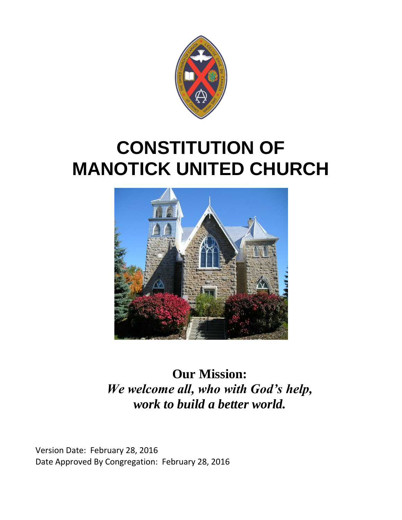

# **CONSTITUTION OF MANOTICK UNITED CHURCH**



**Our Mission:** *We welcome all, who with God's help, work to build a better world.*

Version Date: February 28, 2016 Date Approved By Congregation: February 28, 2016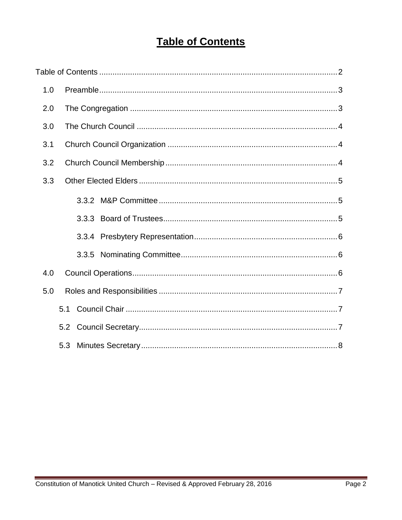# **Table of Contents**

| 1.0 |     |  |
|-----|-----|--|
| 2.0 |     |  |
| 3.0 |     |  |
| 3.1 |     |  |
| 3.2 |     |  |
| 3.3 |     |  |
|     |     |  |
|     |     |  |
|     |     |  |
|     |     |  |
| 4.0 |     |  |
| 5.0 |     |  |
|     | 5.1 |  |
|     | 5.2 |  |
|     | 5.3 |  |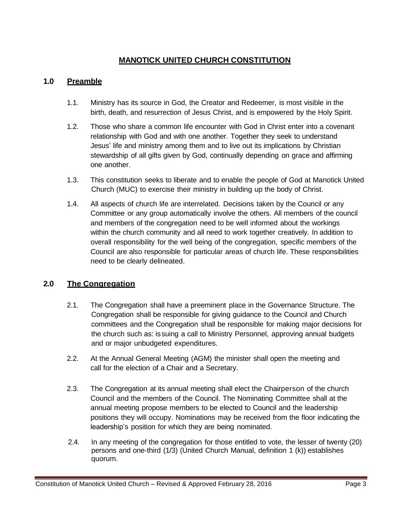# **MANOTICK UNITED CHURCH CONSTITUTION**

#### **1.0 Preamble**

- 1.1. Ministry has its source in God, the Creator and Redeemer, is most visible in the birth, death, and resurrection of Jesus Christ, and is empowered by the Holy Spirit.
- 1.2. Those who share a common life encounter with God in Christ enter into a covenant relationship with God and with one another. Together they seek to understand Jesus' life and ministry among them and to live out its implications by Christian stewardship of all gifts given by God, continually depending on grace and affirming one another.
- 1.3. This constitution seeks to liberate and to enable the people of God at Manotick United Church (MUC) to exercise their ministry in building up the body of Christ.
- 1.4. All aspects of church life are interrelated. Decisions taken by the Council or any Committee or any group automatically involve the others. All members of the council and members of the congregation need to be well informed about the workings within the church community and all need to work together creatively. In addition to overall responsibility for the well being of the congregation, specific members of the Council are also responsible for particular areas of church life. These responsibilities need to be clearly delineated.

# **2.0 The Congregation**

- 2.1. The Congregation shall have a preeminent place in the Governance Structure. The Congregation shall be responsible for giving guidance to the Council and Church committees and the Congregation shall be responsible for making major decisions for the church such as: is suing a call to Ministry Personnel, approving annual budgets and or major unbudgeted expenditures.
- 2.2. At the Annual General Meeting (AGM) the minister shall open the meeting and call for the election of a Chair and a Secretary.
- 2.3. The Congregation at its annual meeting shall elect the Chairperson of the church Council and the members of the Council. The Nominating Committee shall at the annual meeting propose members to be elected to Council and the leadership positions they will occupy. Nominations may be received from the floor indicating the leadership's position for which they are being nominated.
- 2.4. In any meeting of the congregation for those entitled to vote, the lesser of twenty (20) persons and one-third (1/3) (United Church Manual, definition 1 (k)) establishes quorum.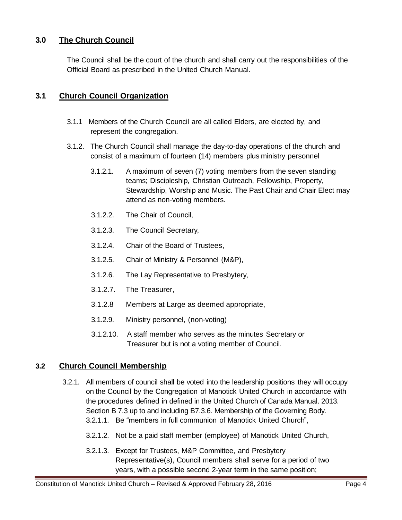# **3.0 The Church Council**

The Council shall be the court of the church and shall carry out the responsibilities of the Official Board as prescribed in the United Church Manual.

## **3.1 Church Council Organization**

- 3.1.1 Members of the Church Council are all called Elders, are elected by, and represent the congregation.
- 3.1.2. The Church Council shall manage the day-to-day operations of the church and consist of a maximum of fourteen (14) members plus ministry personnel
	- 3.1.2.1. A maximum of seven (7) voting members from the seven standing teams; Discipleship, Christian Outreach, Fellowship, Property, Stewardship, Worship and Music. The Past Chair and Chair Elect may attend as non-voting members.
	- 3.1.2.2. The Chair of Council,
	- 3.1.2.3. The Council Secretary,
	- 3.1.2.4. Chair of the Board of Trustees,
	- 3.1.2.5. Chair of Ministry & Personnel (M&P),
	- 3.1.2.6. The Lay Representative to Presbytery,
	- 3.1.2.7. The Treasurer,
	- 3.1.2.8 Members at Large as deemed appropriate,
	- 3.1.2.9. Ministry personnel, (non-voting)
	- 3.1.2.10. A staff member who serves as the minutes Secretary or Treasurer but is not a voting member of Council.

#### **3.2 Church Council Membership**

- 3.2.1. All members of council shall be voted into the leadership positions they will occupy on the Council by the Congregation of Manotick United Church in accordance with the procedures defined in defined in the United Church of Canada Manual. 2013. Section B 7.3 up to and including B7.3.6. Membership of the Governing Body. 3.2.1.1. Be "members in full communion of Manotick United Church",
	- 3.2.1.2. Not be a paid staff member (employee) of Manotick United Church,
	- 3.2.1.3. Except for Trustees, M&P Committee, and Presbytery Representative(s), Council members shall serve for a period of two years, with a possible second 2-year term in the same position;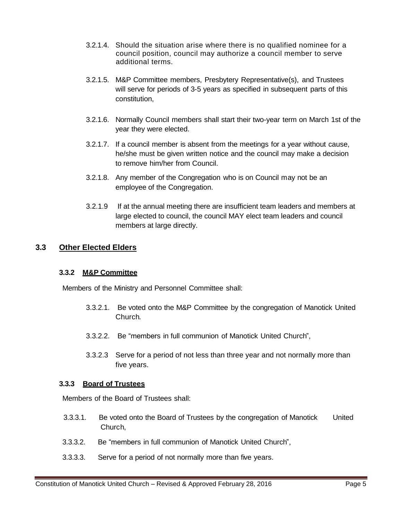- 3.2.1.4. Should the situation arise where there is no qualified nominee for a council position, council may authorize a council member to serve additional terms.
- 3.2.1.5. M&P Committee members, Presbytery Representative(s), and Trustees will serve for periods of 3-5 years as specified in subsequent parts of this constitution,
- 3.2.1.6. Normally Council members shall start their two-year term on March 1st of the year they were elected.
- 3.2.1.7. If a council member is absent from the meetings for a year without cause, he/she must be given written notice and the council may make a decision to remove him/her from Council.
- 3.2.1.8. Any member of the Congregation who is on Council may not be an employee of the Congregation.
- 3.2.1.9 If at the annual meeting there are insufficient team leaders and members at large elected to council, the council MAY elect team leaders and council members at large directly.

#### **3.3 Other Elected Elders**

#### **3.3.2 M&P Committee**

Members of the Ministry and Personnel Committee shall:

- 3.3.2.1. Be voted onto the M&P Committee by the congregation of Manotick United Church.
- 3.3.2.2. Be "members in full communion of Manotick United Church",
- 3.3.2.3 Serve for a period of not less than three year and not normally more than five years.

#### **3.3.3 Board of Trustees**

Members of the Board of Trustees shall:

- 3.3.3.1. Be voted onto the Board of Trustees by the congregation of Manotick United Church,
- 3.3.3.2. Be "members in full communion of Manotick United Church",
- 3.3.3.3. Serve for a period of not normally more than five years.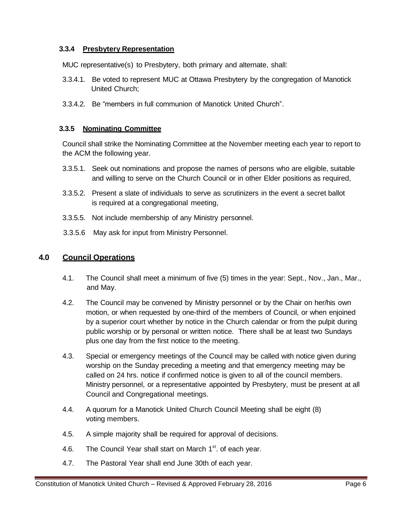#### **3.3.4 Presbytery Representation**

MUC representative(s) to Presbytery, both primary and alternate, shall:

- 3.3.4.1. Be voted to represent MUC at Ottawa Presbytery by the congregation of Manotick United Church;
- 3.3.4.2. Be "members in full communion of Manotick United Church".

#### **3.3.5 Nominating Committee**

Council shall strike the Nominating Committee at the November meeting each year to report to the ACM the following year.

- 3.3.5.1. Seek out nominations and propose the names of persons who are eligible, suitable and willing to serve on the Church Council or in other Elder positions as required,
- 3.3.5.2. Present a slate of individuals to serve as scrutinizers in the event a secret ballot is required at a congregational meeting,
- 3.3.5.5. Not include membership of any Ministry personnel.
- 3.3.5.6 May ask for input from Ministry Personnel.

#### **4.0 Council Operations**

- 4.1. The Council shall meet a minimum of five (5) times in the year: Sept., Nov., Jan., Mar., and May.
- 4.2. The Council may be convened by Ministry personnel or by the Chair on her/his own motion, or when requested by one-third of the members of Council, or when enjoined by a superior court whether by notice in the Church calendar or from the pulpit during public worship or by personal or written notice. There shall be at least two Sundays plus one day from the first notice to the meeting.
- 4.3. Special or emergency meetings of the Council may be called with notice given during worship on the Sunday preceding a meeting and that emergency meeting may be called on 24 hrs. notice if confirmed notice is given to all of the council members. Ministry personnel, or a representative appointed by Presbytery, must be present at all Council and Congregational meetings.
- 4.4. A quorum for a Manotick United Church Council Meeting shall be eight (8) voting members.
- 4.5. A simple majority shall be required for approval of decisions.
- 4.6. The Council Year shall start on March 1<sup>st</sup>. of each year.
- 4.7. The Pastoral Year shall end June 30th of each year.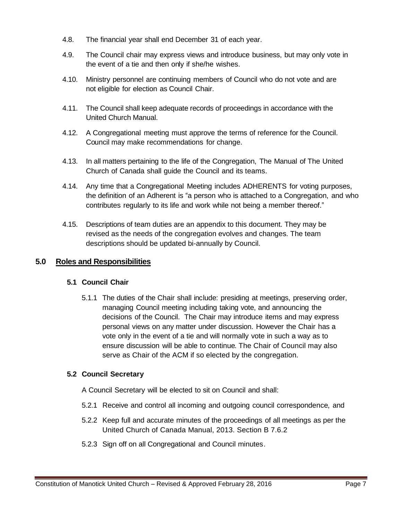- 4.8. The financial year shall end December 31 of each year.
- 4.9. The Council chair may express views and introduce business, but may only vote in the event of a tie and then only if she/he wishes.
- 4.10. Ministry personnel are continuing members of Council who do not vote and are not eligible for election as Council Chair.
- 4.11. The Council shall keep adequate records of proceedings in accordance with the United Church Manual.
- 4.12. A Congregational meeting must approve the terms of reference for the Council. Council may make recommendations for change.
- 4.13. In all matters pertaining to the life of the Congregation, The Manual of The United Church of Canada shall guide the Council and its teams.
- 4.14. Any time that a Congregational Meeting includes ADHERENTS for voting purposes, the definition of an Adherent is "a person who is attached to a Congregation, and who contributes regularly to its life and work while not being a member thereof."
- 4.15. Descriptions of team duties are an appendix to this document. They may be revised as the needs of the congregation evolves and changes. The team descriptions should be updated bi-annually by Council.

# **5.0 Roles and Responsibilities**

#### **5.1 Council Chair**

5.1.1 The duties of the Chair shall include: presiding at meetings, preserving order, managing Council meeting including taking vote, and announcing the decisions of the Council. The Chair may introduce items and may express personal views on any matter under discussion. However the Chair has a vote only in the event of a tie and will normally vote in such a way as to ensure discussion will be able to continue. The Chair of Council may also serve as Chair of the ACM if so elected by the congregation.

#### **5.2 Council Secretary**

A Council Secretary will be elected to sit on Council and shall:

- 5.2.1 Receive and control all incoming and outgoing council correspondence, and
- 5.2.2 Keep full and accurate minutes of the proceedings of all meetings as per the United Church of Canada Manual, 2013. Section B 7.6.2
- 5.2.3 Sign off on all Congregational and Council minutes.